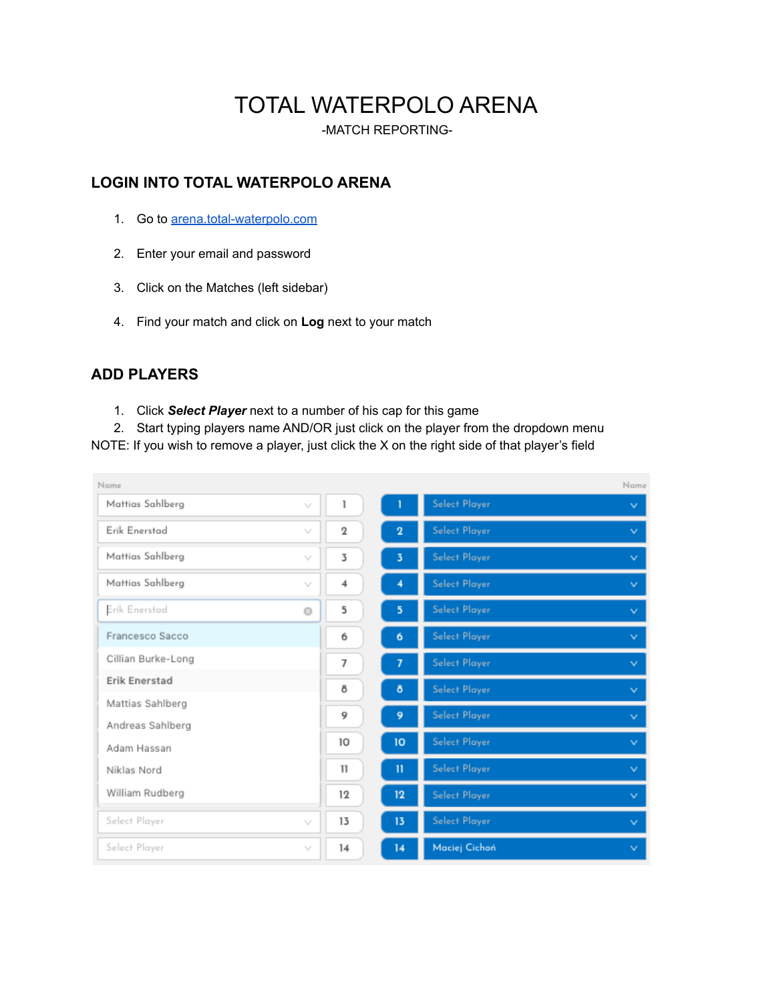# TOTAL WATERPOLO ARENA

-MATCH REPORTING-

# **LOGIN INTO TOTAL WATERPOLO ARENA**

- 1. Go to [arena.total-waterpolo.com](http://arena.total-waterpolo.com)
- 2. Enter your email and password
- 3. Click on the Matches (left sidebar)
- 4. Find your match and click on **Log** next to your match

# **ADD PLAYERS**

- 1. Click *Select Player* next to a number of his cap for this game
- 2. Start typing players name AND/OR just click on the player from the dropdown menu

NOTE: If you wish to remove a player, just click the X on the right side of that player's field

| Name                 |                             |              |              |                      | Name         |
|----------------------|-----------------------------|--------------|--------------|----------------------|--------------|
| Mattias Sahlberg     | v                           | 1            |              | <b>Select Player</b> | $\checkmark$ |
| Erik Enerstad        | $\mathcal{N}_{\mathcal{N}}$ | $\mathbf 2$  | $\bf{2}$     | Select Player        | $\checkmark$ |
| Mattias Sahlberg     | v                           | 3            | 3            | <b>Select Player</b> | $\vee$       |
| Mattias Sahlberg     | v                           | 4            | 4            | <b>Select Player</b> | $\vee$       |
| Erik Enerstad        | ø                           | 5            | 5            | <b>Select Player</b> | $\vee$       |
| Francesco Sacco      |                             | 6            | 6            | <b>Select Player</b> | $\vee$       |
| Cillian Burke-Long   |                             | 7            | 7            | <b>Select Player</b> | $\vee$       |
| <b>Erik Enerstad</b> |                             | 8            | 8            | <b>Select Player</b> | $\vee$       |
| Mattias Sahlberg     |                             | 9            | 9            | <b>Select Player</b> |              |
| Andreas Sahlberg     |                             |              |              |                      | $\checkmark$ |
| Adam Hassan          |                             | 10           | 10           | <b>Select Player</b> | $\vee$       |
| Niklas Nord          |                             | $\mathbf{1}$ | $\mathbf{u}$ | <b>Select Player</b> | $\checkmark$ |
| William Rudberg      |                             | 12           | $12 \,$      | <b>Select Player</b> | $\vee$       |
| Select Player        | v                           | 13           | 13           | <b>Select Player</b> | $\checkmark$ |
| Select Player        | V                           | 14           | 14           | Maciej Cichoń        | $\vee$       |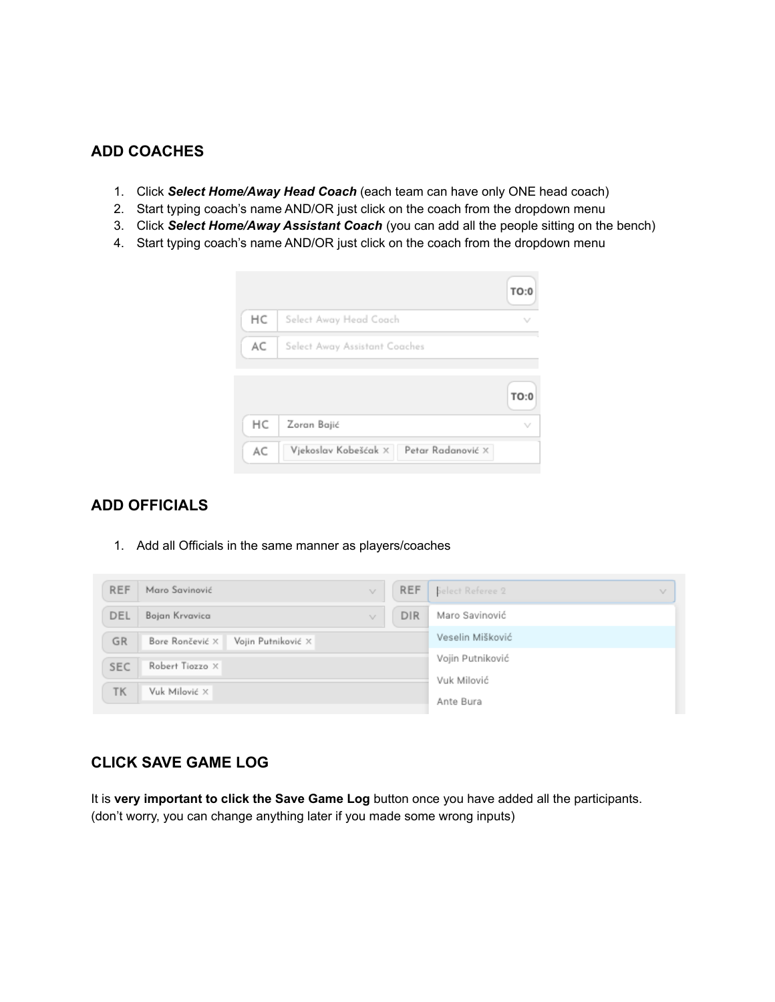## **ADD COACHES**

- 1. Click *Select Home/Away Head Coach* (each team can have only ONE head coach)
- 2. Start typing coach's name AND/OR just click on the coach from the dropdown menu
- 3. Click *Select Home/Away Assistant Coach* (you can add all the people sitting on the bench)
- 4. Start typing coach's name AND/OR just click on the coach from the dropdown menu



## **ADD OFFICIALS**

1. Add all Officials in the same manner as players/coaches

| <b>REF</b> | Maro Savinović<br>v                   | <b>REF</b>       | Select Referee 2<br>$\mathcal{N}_{\mathcal{A}}$ |  |  |  |
|------------|---------------------------------------|------------------|-------------------------------------------------|--|--|--|
| DEL        | Bojan Krvavica<br>v                   | <b>DIR</b>       | Maro Savinović                                  |  |  |  |
| GR         | Vojin Putniković X<br>Bore Rončević X | Veselin Mišković |                                                 |  |  |  |
| <b>SEC</b> | Robert Tiozzo X                       |                  | Vojin Putniković                                |  |  |  |
| TK         | Vuk Milović X                         |                  | Vuk Milović                                     |  |  |  |
|            |                                       |                  | Ante Bura                                       |  |  |  |

## **CLICK SAVE GAME LOG**

It is **very important to click the Save Game Log** button once you have added all the participants. (don't worry, you can change anything later if you made some wrong inputs)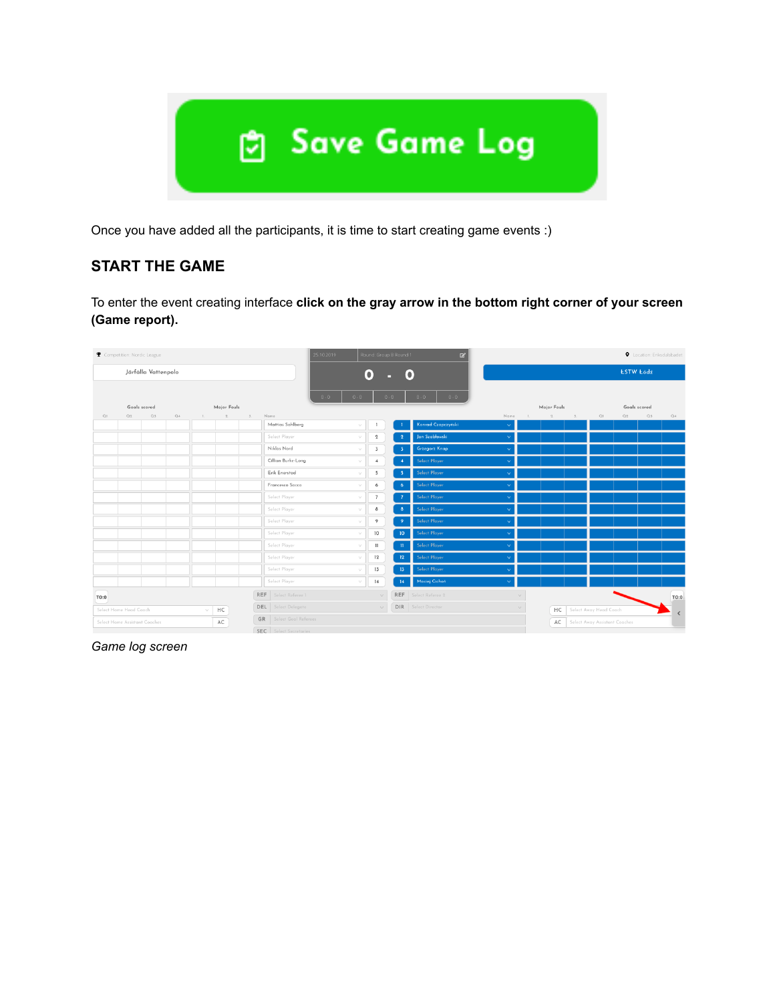

Once you have added all the participants, it is time to start creating game events :)

# **START THE GAME**

To enter the event creating interface **click on the gray arrow in the bottom right corner of your screen (Game report).**

| Competition: Nordic League |                               |                     |    |              |                      |    |                            | 25.10.2019         |                | Round: Group B Round 1 | $\mathbf{z}$                |           | <b>Q</b> Location: Eriksdalsbadet |    |                               |              |    |           |  |  |  |
|----------------------------|-------------------------------|---------------------|----|--------------|----------------------|----|----------------------------|--------------------|----------------|------------------------|-----------------------------|-----------|-----------------------------------|----|-------------------------------|--------------|----|-----------|--|--|--|
|                            |                               | Järfälla Vattenpolo |    |              |                      |    |                            | ۰<br>o             |                |                        |                             |           |                                   |    | <b>ESTW Łódź</b>              |              |    |           |  |  |  |
|                            |                               |                     |    |              |                      |    |                            | $0 - 0$<br>$0 - 0$ |                | $0 - 0$                | $0 - 0$<br>$0 - 0$          |           |                                   |    |                               |              |    |           |  |  |  |
|                            |                               | Goals scored        |    |              | Major Fouls          |    |                            |                    |                |                        |                             |           | Major Fouls                       |    |                               | Goals scored |    |           |  |  |  |
| Q1                         | Q2                            | Q3                  | Q4 | $\mathbb{L}$ | $2 \qquad \qquad 3.$ |    | Name<br>Mattias Sahlberg   |                    |                |                        | Konrad Czapczyński          | Name<br>v | 2                                 | 3. | Q1                            | Q2           | Q3 | Q4        |  |  |  |
|                            |                               |                     |    |              |                      |    |                            | v.                 | $\mathbf{1}$   |                        |                             |           |                                   |    |                               |              |    |           |  |  |  |
|                            |                               |                     |    |              |                      |    | Select Player              | v                  | $\mathbf{2}$   | $\mathbf{2}$           | Jan Szabłowski              |           |                                   |    |                               |              |    |           |  |  |  |
|                            |                               |                     |    |              |                      |    | Niklas Nord                | $\vee$             | $\overline{3}$ | $\overline{3}$         | <b>Grzegorz Knap</b>        |           |                                   |    |                               |              |    |           |  |  |  |
|                            |                               |                     |    |              |                      |    | Cillian Burke-Long         | v                  | $\overline{4}$ |                        | Select Player               |           |                                   |    |                               |              |    |           |  |  |  |
|                            |                               |                     |    |              |                      |    | Erik Enerstad              | v                  | 5              |                        | Select Player               |           |                                   |    |                               |              |    |           |  |  |  |
|                            |                               |                     |    |              |                      |    | Francesco Sacco            | $\vee$             | 6              | 6                      | Select Player               |           |                                   |    |                               |              |    |           |  |  |  |
|                            |                               |                     |    |              |                      |    | Select Player              | v                  | $\overline{7}$ |                        | Select Player               |           |                                   |    |                               |              |    |           |  |  |  |
|                            |                               |                     |    |              |                      |    | Select Player              | v                  | 8              | $\delta$               | Select Player               | Ĝ.        |                                   |    |                               |              |    |           |  |  |  |
|                            |                               |                     |    |              |                      |    | Select Player              | $\vee$             | 9              |                        | Select Player               |           |                                   |    |                               |              |    |           |  |  |  |
|                            |                               |                     |    |              |                      |    | Select Player              | $\sim$             | 10             | 10                     | Select Player               |           |                                   |    |                               |              |    |           |  |  |  |
|                            |                               |                     |    |              |                      |    | Select Player              | $\sqrt{}$          | 11             | $\mathbf{u}$           | Select Player               | Ŵ         |                                   |    |                               |              |    |           |  |  |  |
|                            |                               |                     |    |              |                      |    | Select Player              | $\vee$             | 12             | 12                     | Select Player               |           |                                   |    |                               |              |    |           |  |  |  |
|                            |                               |                     |    |              |                      |    | Select Player              | $\vee$             | 13             | 13 <sub>1</sub>        | Select Player               |           |                                   |    |                               |              |    |           |  |  |  |
|                            |                               |                     |    |              |                      |    | Select Player              | v                  | 14             | 14                     | Maciej Cichoń               |           |                                   |    |                               |              |    |           |  |  |  |
| TO:0                       |                               |                     |    |              |                      |    | REF Select Referee 1       |                    | $\vee$         |                        | <b>REF</b> Select Referee 2 | $\vee$    |                                   |    |                               |              |    | TO:0      |  |  |  |
|                            | Select Home Head Coach        |                     |    |              | HC                   |    | <b>DEL</b> Select Delegate |                    | $\vee$         |                        | <b>DIR</b> Select Director  | $\vee$    |                                   | HC | Select Away Head Coach        |              |    |           |  |  |  |
|                            | Select Home Assistant Coaches |                     |    |              | AC                   | GR | Select Goal Referees       |                    |                |                        |                             |           |                                   | AC | Select Away Assistant Coaches |              |    | $\,$ $\,$ |  |  |  |
|                            |                               |                     |    |              |                      |    | SEC Select Secretaries     |                    |                |                        |                             |           |                                   |    |                               |              |    |           |  |  |  |

*Game log screen*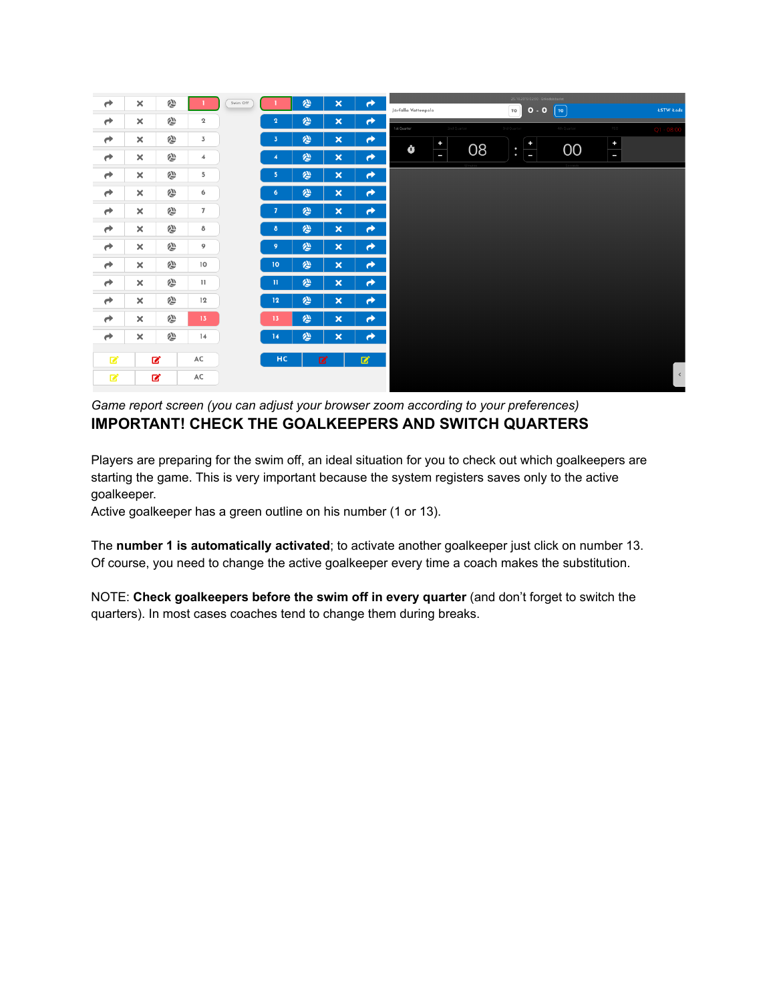| $\rightarrow$ | $\pmb{\times}$            | 合 |                | Swim Off |                         | $\hat{\mathbf{v}}$ | ×                         | $\rightarrow$ | Järfälla Vattenpolo        | 25.10.2019 02:00 - Eriksdalsbadet<br>0.0<br>$\lceil$ то $\rceil$<br>TO | <b>ESTW</b> E6dź    |
|---------------|---------------------------|---|----------------|----------|-------------------------|--------------------|---------------------------|---------------|----------------------------|------------------------------------------------------------------------|---------------------|
| $\rightarrow$ | $\boldsymbol{\times}$     | 合 | $\mathbf{2}$   |          | $\overline{2}$          | 纱                  | $\boldsymbol{\mathsf{x}}$ | $\rightarrow$ | 1st Quarter<br>2nd Quarter | 4th Ouarter<br><b>Brid Quarter</b>                                     | PSO<br>$Q1 - 08:00$ |
| $\rightarrow$ | $\pmb{\times}$            | 合 | $\overline{3}$ |          | $\overline{\mathbf{3}}$ | 纱                  | $\boldsymbol{\mathsf{x}}$ | $\rightarrow$ | $\div$                     |                                                                        | $\div$              |
| $\rightarrow$ | $\pmb{\times}$            | 合 | $\overline{4}$ |          | $\overline{4}$          | 纱                  | $\boldsymbol{\mathsf{x}}$ | $\rightarrow$ | Ŏ<br>ш                     | $\frac{1}{\sqrt{2}}$<br>08<br>00<br>$\ddot{\phantom{0}}$               | L                   |
| $\rightarrow$ | $\pmb{\times}$            | 纱 | 5              |          | 5 <sub>5</sub>          | 纱                  | $\boldsymbol{\mathsf{x}}$ | $\rightarrow$ |                            |                                                                        |                     |
| $\rightarrow$ | $\pmb{\times}$            | 合 | 6              |          | 6                       | 纱                  | $\boldsymbol{\mathsf{x}}$ | $\rightarrow$ |                            |                                                                        |                     |
| $\rightarrow$ | $\pmb{\times}$            | 合 | $\overline{7}$ |          | $\overline{7}$          | 纱                  | $\boldsymbol{\mathsf{x}}$ | $\rightarrow$ |                            |                                                                        |                     |
| $\rightarrow$ | $\pmb{\times}$            | 合 | 8              |          | 8                       | 绝                  | $\boldsymbol{\mathsf{x}}$ | $\rightarrow$ |                            |                                                                        |                     |
| $\rightarrow$ | $\pmb{\times}$            | 纱 | 9              |          | 9                       | 纱                  | $\boldsymbol{\mathsf{x}}$ | $\rightarrow$ |                            |                                                                        |                     |
| $\rightarrow$ | $\pmb{\times}$            | 纱 | 10             |          | 10                      | 绝                  | $\boldsymbol{\mathsf{x}}$ | $\rightarrow$ |                            |                                                                        |                     |
| $\rightarrow$ | $\boldsymbol{\times}$     | 合 | 11             |          | $\mathbf{H}$            | 纱                  | $\boldsymbol{\mathsf{x}}$ | $\rightarrow$ |                            |                                                                        |                     |
| $\rightarrow$ | $\pmb{\times}$            | 纱 | 12             |          | 12                      | 合                  | $\boldsymbol{\mathsf{x}}$ | $\rightarrow$ |                            |                                                                        |                     |
| $\rightarrow$ | $\boldsymbol{\mathsf{x}}$ | 合 | 13             |          | 13                      | 纱                  | $\boldsymbol{\mathsf{x}}$ | $\rightarrow$ |                            |                                                                        |                     |
| $\rightarrow$ | $\pmb{\times}$            | 纱 | 14             |          | 14                      | 纱                  | $\boldsymbol{\mathsf{x}}$ | $\rightarrow$ |                            |                                                                        |                     |
| 図             |                           | ■ | AC             |          | HC                      |                    | 図                         | 図             |                            |                                                                        |                     |
| 図             |                           | 図 | AC             |          |                         |                    |                           |               |                            |                                                                        | $\prec$             |

*Game report screen (you can adjust your browser zoom according to your preferences)* **IMPORTANT! CHECK THE GOALKEEPERS AND SWITCH QUARTERS**

Players are preparing for the swim off, an ideal situation for you to check out which goalkeepers are starting the game. This is very important because the system registers saves only to the active goalkeeper.

Active goalkeeper has a green outline on his number (1 or 13).

The **number 1 is automatically activated**; to activate another goalkeeper just click on number 13. Of course, you need to change the active goalkeeper every time a coach makes the substitution.

NOTE: **Check goalkeepers before the swim off in every quarter** (and don't forget to switch the quarters). In most cases coaches tend to change them during breaks.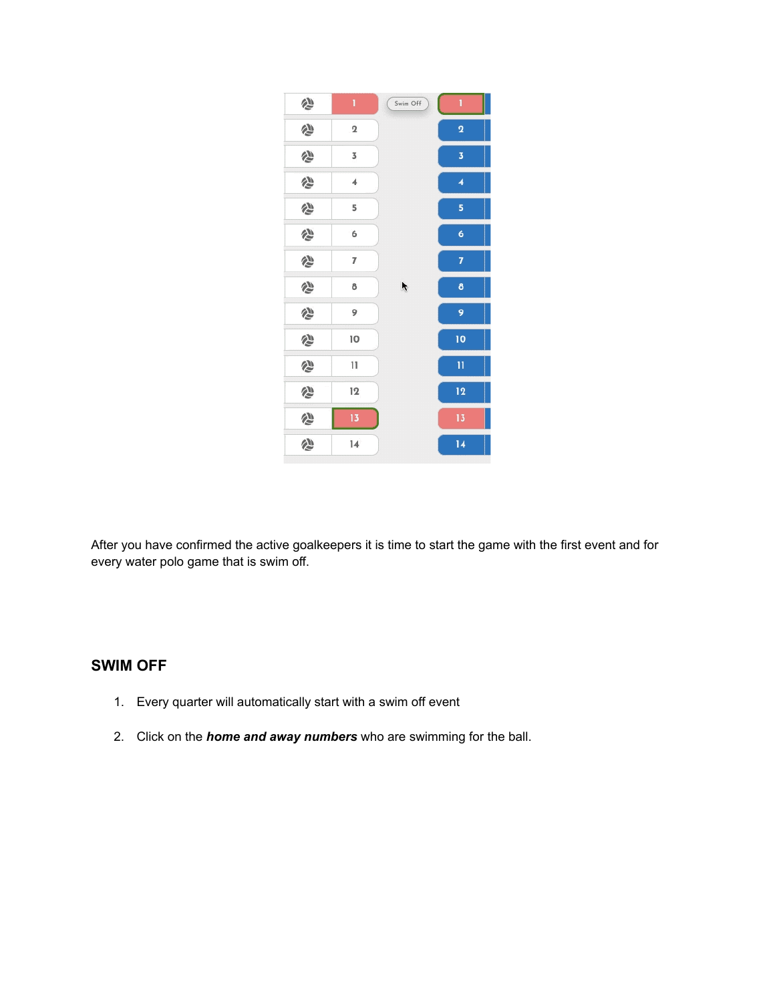

After you have confirmed the active goalkeepers it is time to start the game with the first event and for every water polo game that is swim off.

# **SWIM OFF**

- 1. Every quarter will automatically start with a swim off event
- 2. Click on the *home and away numbers* who are swimming for the ball.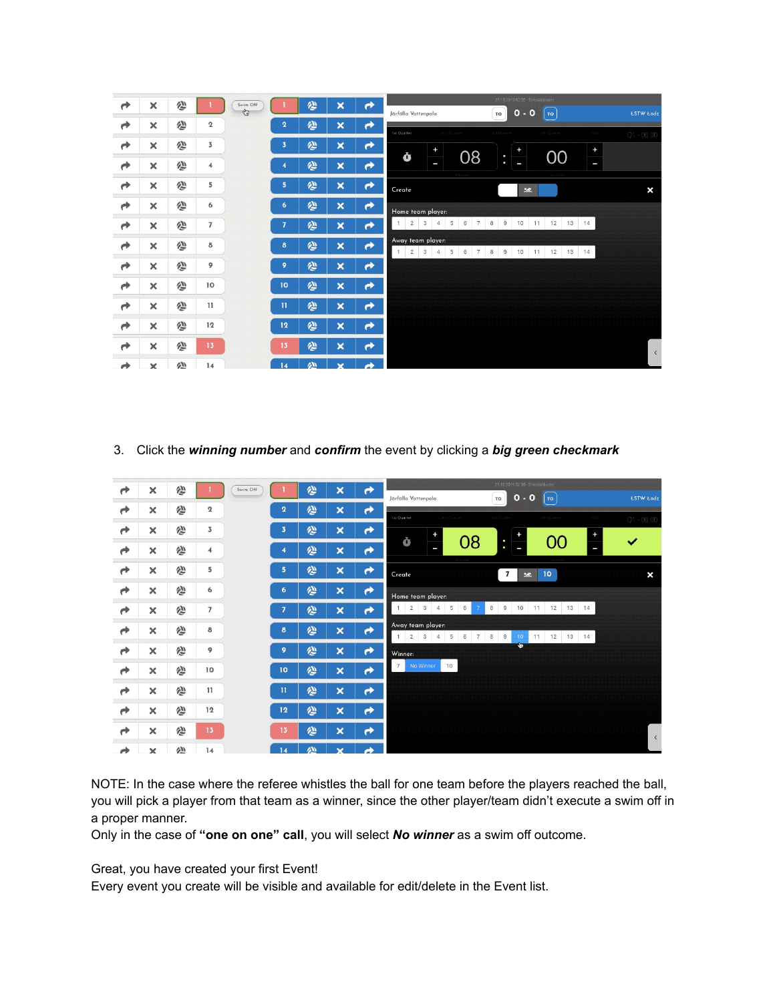| ₹ | ×                         | 合 |                         | Swim Off<br>Ò |                 | 合 | $\boldsymbol{\mathsf{x}}$ | ℯ             | 25.10.2019 02:00 - Eriksdalsbadet<br>$0 - 0$<br>TO<br>Järfälla Vattenpolo<br>  то                              | <b>ŁSTW Łódź</b> |
|---|---------------------------|---|-------------------------|---------------|-----------------|---|---------------------------|---------------|----------------------------------------------------------------------------------------------------------------|------------------|
| À | $\boldsymbol{\times}$     | 谷 | $\overline{\mathbf{2}}$ |               | $\overline{2}$  | 谷 | $\boldsymbol{\mathsf{x}}$ | $\rightarrow$ |                                                                                                                |                  |
| À | $\boldsymbol{\times}$     | 纱 | 3                       |               | 3               | 纱 | $\boldsymbol{\mathsf{x}}$ | ≁             | 1st Quarter<br>2nd Quarter<br><b>Srd Guarter</b><br>4th Quarter<br>P50<br>$\ddot{}$<br>$\ddot{}$<br>٠          | $Q1 - 08:00$     |
| À | $\boldsymbol{\times}$     | 谷 | $\overline{4}$          |               |                 | 绝 | $\boldsymbol{\mathsf{x}}$ | $\rightarrow$ | 08<br>00<br>Ġ<br>$\ddot{\phantom{0}}$<br>J<br>I<br>l                                                           |                  |
|   |                           |   | 5                       |               | 5               |   |                           |               |                                                                                                                |                  |
| À | ×                         | 合 |                         |               |                 | 纱 | ×                         | ≁             | Create<br>25 <sup>o</sup>                                                                                      | ×                |
| Ò | $\times$                  | 合 | 6                       |               | $6\phantom{.}6$ | 汤 | ×                         | $\rightarrow$ | Home team player:                                                                                              |                  |
| À | ×                         | 谷 | $\overline{7}$          |               |                 | 绝 | $\boldsymbol{\mathsf{x}}$ | ≁             | $2^{\circ}$<br>5<br>$\mathbf{3}$<br>$\overline{4}$<br>6<br>7<br>$8 \quad 9$<br>10<br>11<br>12<br>13 14         |                  |
| Ò | $\boldsymbol{\times}$     | 合 | 8                       |               | 8               | 纱 | $\boldsymbol{\mathsf{x}}$ | $\rightarrow$ | Away team player:<br>$2 \quad 3 \quad 4$<br>5<br>1<br>6<br>7<br>8<br>9<br>10 <sup>°</sup><br>11<br>12<br>13 14 |                  |
| À | $\boldsymbol{\mathsf{x}}$ | 谷 | 9                       |               | 9               | 绝 | $\boldsymbol{\mathsf{x}}$ | $\rightarrow$ |                                                                                                                |                  |
| Ò | ×                         | 合 | 10                      |               | 10              | 纱 | $\boldsymbol{\mathsf{x}}$ | $\rightarrow$ |                                                                                                                |                  |
| Ò | ×                         | 谷 | 11                      |               | $\mathbf{u}$    | 汤 | $\boldsymbol{\mathsf{x}}$ | ≁             |                                                                                                                |                  |
| Ò | $\boldsymbol{\times}$     | 西 | 12                      |               | 12              | 谷 | $\boldsymbol{\mathsf{x}}$ | ≁             |                                                                                                                |                  |
| À | $\boldsymbol{\mathsf{x}}$ | ◎ | 13                      |               | 13              | 纱 | $\boldsymbol{\mathsf{x}}$ | $\rightarrow$ |                                                                                                                | $\langle$        |
|   | $\mathbf x$               | 处 | 14                      |               | 14              | 痤 | ×                         | À             |                                                                                                                |                  |

3. Click the *winning number* and *confirm* the event by clicking a *big green checkmark*

| ₹ | ×                         | 纱        |                 | Swim Off |                         | 汤         | $\boldsymbol{\mathsf{x}}$ | ≁             | 25.10.2019 02:00 - Enksdalsbadet<br>$0 - 0$<br>Järfälla Vattenpolo<br><b>ESTW</b> Łódź<br>TO<br><b>TO</b>   |
|---|---------------------------|----------|-----------------|----------|-------------------------|-----------|---------------------------|---------------|-------------------------------------------------------------------------------------------------------------|
| À | ×                         | 纱        | $\mathbf 2$     |          | $\mathbf{2}$            | 汤         | $\boldsymbol{\mathsf{x}}$ | $\rightarrow$ | 1st Quarter<br>4th Quarter<br>ast Ouan                                                                      |
| Ò | ×                         | 合        | 3               |          | $\overline{\mathbf{3}}$ | 汤         | $\boldsymbol{\mathsf{x}}$ | ≁             | $Q1 - 08:00$<br>÷                                                                                           |
| À | ×                         | 合        | 4               |          | z                       | 汤         | $\boldsymbol{\mathsf{x}}$ | ≁             | 08<br>Ò<br>OO<br>$\checkmark$<br>$\bullet$<br>$\bullet$<br>I                                                |
| Ò | ×                         | 合        | 5               |          | 5                       | 纱         | $\boldsymbol{\mathsf{x}}$ | $\rightarrow$ | $\overline{7}$<br>10 <sub>o</sub><br>Create<br>$\boldsymbol{\mathsf{x}}$<br>25 <sub>2</sub>                 |
| À | ×                         | 纱        | 6               |          | 6                       | 汤         | $\boldsymbol{\mathsf{x}}$ | $\rightarrow$ | Home team player:                                                                                           |
| Ò | $\boldsymbol{\mathsf{x}}$ | 合        | $\overline{7}$  |          | $\overline{7}$          | 汤         | $\boldsymbol{\mathsf{x}}$ | $\rightarrow$ | 5<br>6<br>8<br>9<br>12<br>13 14<br>$2 \mid 3$<br>10<br>11<br>$\overline{4}$                                 |
| À | ×                         | 合        | 8               |          | 8                       | 汤         | $\boldsymbol{\mathsf{x}}$ | $\rightarrow$ | Away team player:<br>5<br>$\overline{2}$<br>3<br>8<br>9<br>12 13 14<br>$\overline{4}$<br>6<br>7<br>10<br>11 |
| À | ×                         | 合        | 9               |          | 9                       | 纱         | $\boldsymbol{\mathsf{x}}$ | $\rightarrow$ | $\ddot{\phantom{1}}$<br>Winner:                                                                             |
| Ò | ×                         | 谷        | 10              |          | 10                      | 汤         | $\boldsymbol{\mathsf{x}}$ | Ò             | 10<br>7 <sup>1</sup><br>No Winner                                                                           |
| À | ×                         | 合        | 11              |          | $\mathbf{H}$            | 炒         | $\boldsymbol{\mathsf{x}}$ | $\rightarrow$ |                                                                                                             |
| À | ×                         | 合        | 12              |          | 12                      | 汤         | $\boldsymbol{\mathsf{x}}$ | $\rightarrow$ |                                                                                                             |
| Ò | ×                         | 仓        | 13 <sub>1</sub> |          | 13                      | 绮         | $\boldsymbol{\mathsf{x}}$ | $\rightarrow$ |                                                                                                             |
|   | $\overline{\phantom{a}}$  | $\Delta$ | 1.4             |          | 14 <sup>2</sup>         | <b>AM</b> | $\bullet$                 |               | $\left\langle \right\rangle$                                                                                |

NOTE: In the case where the referee whistles the ball for one team before the players reached the ball, you will pick a player from that team as a winner, since the other player/team didn't execute a swim off in a proper manner.

Only in the case of **"one on one" call**, you will select *No winner* as a swim off outcome.

Great, you have created your first Event!

Every event you create will be visible and available for edit/delete in the Event list.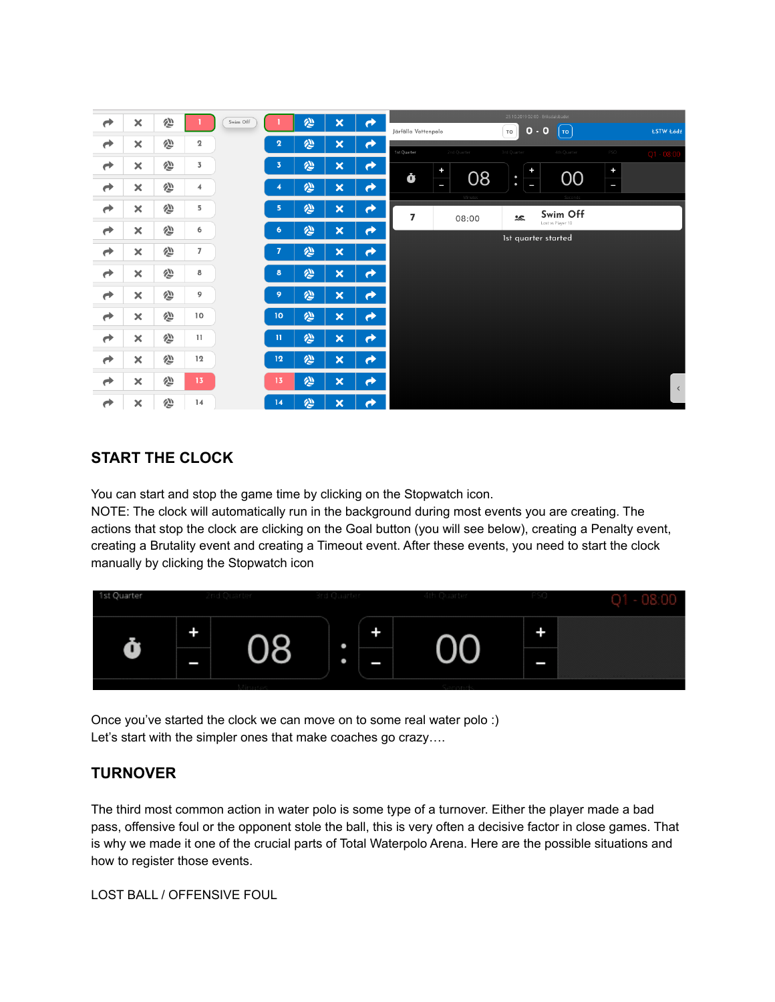| $\rightarrow$ | $\boldsymbol{\times}$     | 合 |                | Swim Off |                         | 纱                  | $\pmb{\times}$            | $\rightarrow$         |                     |           |             |                                          | 25.10.2019 02:00 - Eriksdalsbadet        |           |                  |  |  |
|---------------|---------------------------|---|----------------|----------|-------------------------|--------------------|---------------------------|-----------------------|---------------------|-----------|-------------|------------------------------------------|------------------------------------------|-----------|------------------|--|--|
|               |                           |   |                |          |                         |                    |                           |                       | Järfälla Vattenpolo |           |             | $0 - 0$<br>TO<br>$\mathsf{T} \mathsf{O}$ |                                          |           | <b>ŁSTW Łódź</b> |  |  |
| $\rightarrow$ | $\boldsymbol{\times}$     | 合 | $\mathbf 2$    |          | $\overline{\mathbf{2}}$ | 心                  | $\boldsymbol{\mathsf{x}}$ | $\rightarrow$         | 1st Quarter         |           | 2nd Quarter | 3rd Quarter                              | 4th Quarter                              | PSO       | $Q1 - 08:00$     |  |  |
| $\rightarrow$ | $\boldsymbol{\times}$     | 仓 | 3              |          | 3                       | 心                  | $\boldsymbol{\mathsf{x}}$ | ≁                     |                     | $\ddot{}$ |             | $\ddot{}$                                |                                          | $\ddot{}$ |                  |  |  |
| $\rightarrow$ | $\boldsymbol{\times}$     | 西 | $\overline{4}$ |          | 4                       | 纱                  | $\boldsymbol{\mathsf{x}}$ | $\rightarrow$         | Ò                   | I         | 08          | $\ddot{\phantom{0}}$<br>I                | 00                                       | J         |                  |  |  |
| $\rightarrow$ | ×                         | 合 | 5              |          | 5                       | $\hat{\mathbf{v}}$ | $\boldsymbol{\mathsf{x}}$ | $\rightarrow$         | $\overline{7}$      |           | 08:00       | 悠                                        | Swim Off                                 |           |                  |  |  |
| $\rightarrow$ | $\boldsymbol{\times}$     | 仓 | 6              |          | 6                       | 纱                  | $\boldsymbol{\mathsf{x}}$ | $\rightarrow$         |                     |           |             |                                          | Lost vs Player 10<br>Ist quarter started |           |                  |  |  |
| $\rightarrow$ | $\boldsymbol{\times}$     | 合 | $\overline{7}$ |          | 7                       | 心                  | $\boldsymbol{\mathsf{x}}$ | ₹                     |                     |           |             |                                          |                                          |           |                  |  |  |
| $\rightarrow$ | $\boldsymbol{\times}$     | 合 | 8              |          | 8                       | $\hat{\mathbf{v}}$ | $\boldsymbol{\mathsf{x}}$ | $\rightarrow$         |                     |           |             |                                          |                                          |           |                  |  |  |
| $\rightarrow$ | $\boldsymbol{\mathsf{x}}$ | 纱 | 9              |          | 9                       | 心                  | $\boldsymbol{\mathsf{x}}$ | $\rightarrow$         |                     |           |             |                                          |                                          |           |                  |  |  |
| $\rightarrow$ | $\boldsymbol{\mathsf{x}}$ | 仓 | 10             |          | 10                      | 心                  | $\boldsymbol{\mathsf{x}}$ | ↛                     |                     |           |             |                                          |                                          |           |                  |  |  |
| $\rightarrow$ | $\boldsymbol{\times}$     | 合 | $\mathbf{11}$  |          | $\mathbf{H}$            | 纱                  | $\pmb{\times}$            | $\rightarrow$         |                     |           |             |                                          |                                          |           |                  |  |  |
| $\rightarrow$ | $\boldsymbol{\times}$     | 仓 | 12             |          | 12                      | 纱                  | $\boldsymbol{\mathsf{x}}$ | $\rightarrow$         |                     |           |             |                                          |                                          |           |                  |  |  |
| $\rightarrow$ | $\boldsymbol{\times}$     | 纱 | 13             |          | 13                      | 心                  | $\boldsymbol{\mathsf{x}}$ | $\rightarrow$         |                     |           |             |                                          |                                          |           | $\prec$          |  |  |
| $\rightarrow$ | $\boldsymbol{\times}$     | 企 | 14             |          | 14                      | 心                  | $\boldsymbol{\mathsf{x}}$ | $\blacktriangleright$ |                     |           |             |                                          |                                          |           |                  |  |  |

# **START THE CLOCK**

You can start and stop the game time by clicking on the Stopwatch icon.

NOTE: The clock will automatically run in the background during most events you are creating. The actions that stop the clock are clicking on the Goal button (you will see below), creating a Penalty event, creating a Brutality event and creating a Timeout event. After these events, you need to start the clock manually by clicking the Stopwatch icon



Once you've started the clock we can move on to some real water polo :) Let's start with the simpler ones that make coaches go crazy….

# **TURNOVER**

The third most common action in water polo is some type of a turnover. Either the player made a bad pass, offensive foul or the opponent stole the ball, this is very often a decisive factor in close games. That is why we made it one of the crucial parts of Total Waterpolo Arena. Here are the possible situations and how to register those events.

LOST BALL / OFFENSIVE FOUL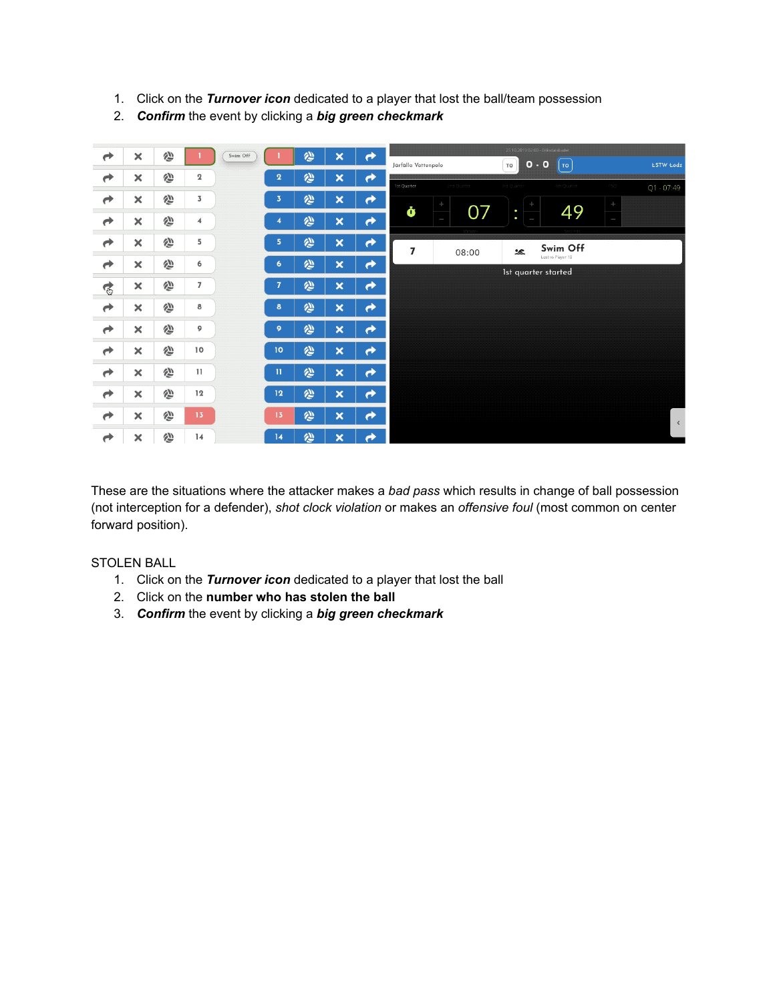- 1. Click on the *Turnover icon* dedicated to a player that lost the ball/team possession
- 2. *Confirm* the event by clicking a *big green checkmark*



These are the situations where the attacker makes a *bad pass* which results in change of ball possession (not interception for a defender), *shot clock violation* or makes an *offensive foul* (most common on center forward position).

#### STOLEN BALL

- 1. Click on the *Turnover icon* dedicated to a player that lost the ball
- 2. Click on the **number who has stolen the ball**
- 3. *Confirm* the event by clicking a *big green checkmark*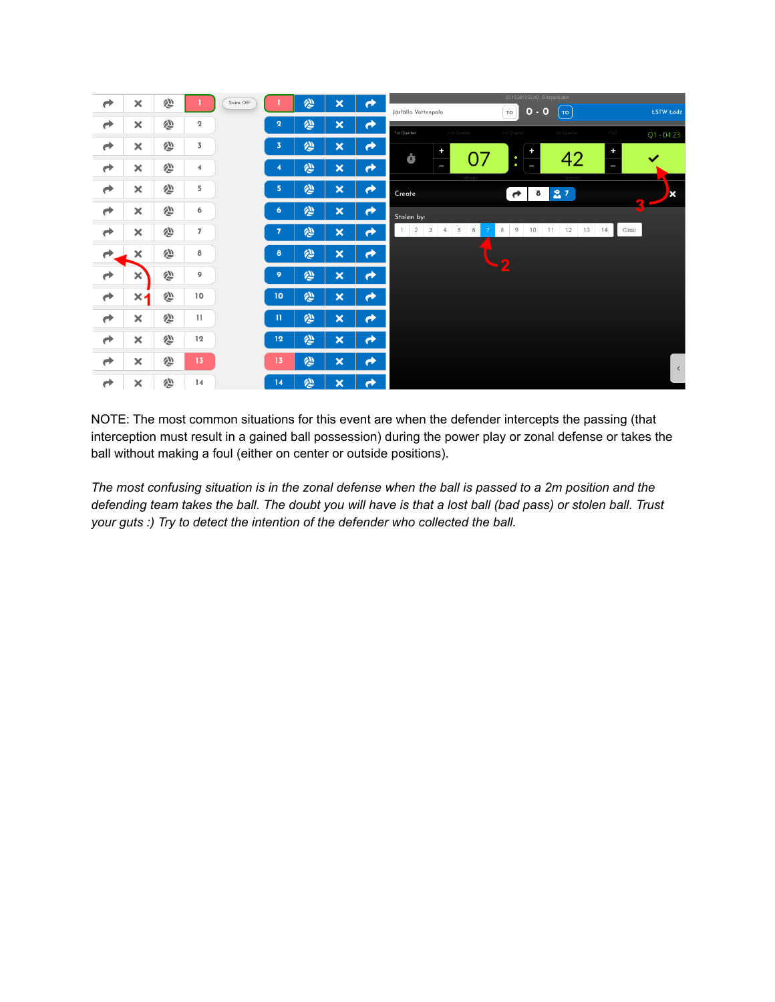

NOTE: The most common situations for this event are when the defender intercepts the passing (that interception must result in a gained ball possession) during the power play or zonal defense or takes the ball without making a foul (either on center or outside positions).

The most confusing situation is in the zonal defense when the ball is passed to a 2m position and the defending team takes the ball. The doubt you will have is that a lost ball (bad pass) or stolen ball. Trust *your guts :) Try to detect the intention of the defender who collected the ball.*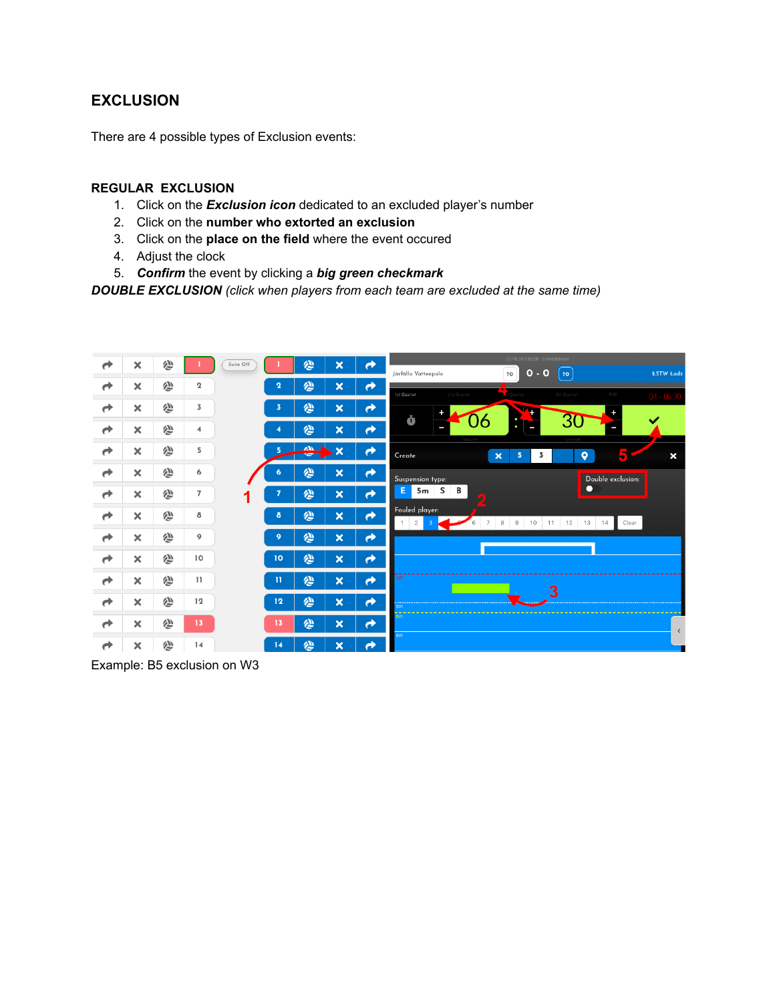# **EXCLUSION**

There are 4 possible types of Exclusion events:

#### **REGULAR EXCLUSION**

- 1. Click on the *Exclusion icon* dedicated to an excluded player's number
- 2. Click on the **number who extorted an exclusion**
- 3. Click on the **place on the field** where the event occured
- 4. Adjust the clock
- 5. *Confirm* the event by clicking a *big green checkmark*

*DOUBLE EXCLUSION (click when players from each team are excluded at the same time)*



Example: B5 exclusion on W3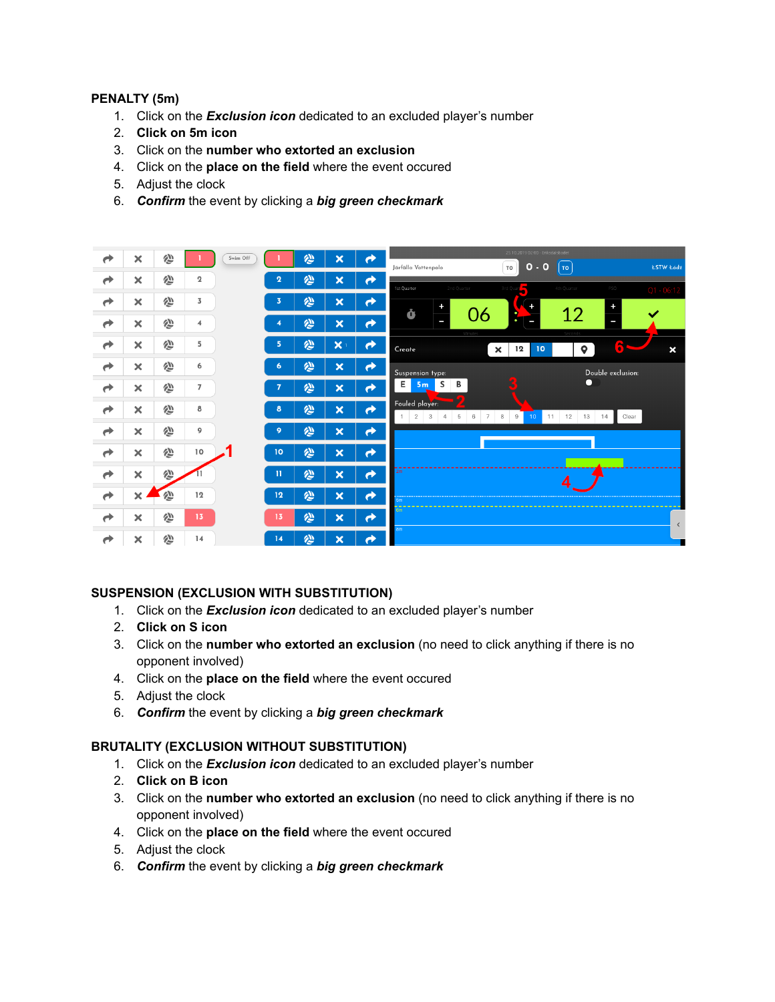#### **PENALTY (5m)**

- 1. Click on the *Exclusion icon* dedicated to an excluded player's number
- 2. **Click on 5m icon**
- 3. Click on the **number who extorted an exclusion**
- 4. Click on the **place on the field** where the event occured
- 5. Adjust the clock
- 6. *Confirm* the event by clicking a *big green checkmark*



#### **SUSPENSION (EXCLUSION WITH SUBSTITUTION)**

- 1. Click on the *Exclusion icon* dedicated to an excluded player's number
- 2. **Click on S icon**
- 3. Click on the **number who extorted an exclusion** (no need to click anything if there is no opponent involved)
- 4. Click on the **place on the field** where the event occured
- 5. Adjust the clock
- 6. *Confirm* the event by clicking a *big green checkmark*

#### **BRUTALITY (EXCLUSION WITHOUT SUBSTITUTION)**

- 1. Click on the *Exclusion icon* dedicated to an excluded player's number
- 2. **Click on B icon**
- 3. Click on the **number who extorted an exclusion** (no need to click anything if there is no opponent involved)
- 4. Click on the **place on the field** where the event occured
- 5. Adjust the clock
- 6. *Confirm* the event by clicking a *big green checkmark*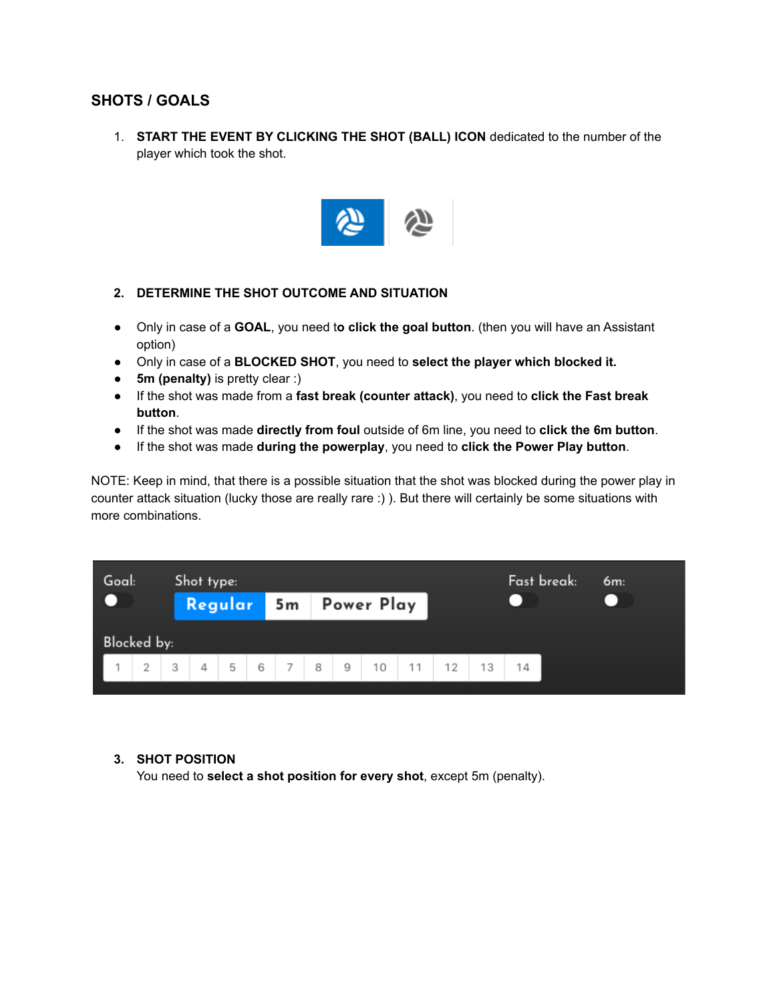## **SHOTS / GOALS**

1. **START THE EVENT BY CLICKING THE SHOT (BALL) ICON** dedicated to the number of the player which took the shot.



#### **2. DETERMINE THE SHOT OUTCOME AND SITUATION**

- Only in case of a **GOAL**, you need t**o click the goal button**. (then you will have an Assistant option)
- Only in case of a **BLOCKED SHOT**, you need to **select the player which blocked it.**
- **5m (penalty)** is pretty clear :)
- If the shot was made from a **fast break (counter attack)**, you need to **click the Fast break button**.
- If the shot was made **directly from foul** outside of 6m line, you need to **click the 6m button**.
- If the shot was made **during the powerplay**, you need to **click the Power Play button**.

NOTE: Keep in mind, that there is a possible situation that the shot was blocked during the power play in counter attack situation (lucky those are really rare :) ). But there will certainly be some situations with more combinations.

| Goal:<br>Shot type:                |                       |  |  |  |  |  | Fast break: | 6m: |  |  |  |
|------------------------------------|-----------------------|--|--|--|--|--|-------------|-----|--|--|--|
|                                    | Regular 5m Power Play |  |  |  |  |  |             |     |  |  |  |
| Blocked by:                        |                       |  |  |  |  |  |             |     |  |  |  |
| 1 1 2 3 4 5 6 7 8 9 10 11 12 13 14 |                       |  |  |  |  |  |             |     |  |  |  |

#### **3. SHOT POSITION**

You need to **select a shot position for every shot**, except 5m (penalty).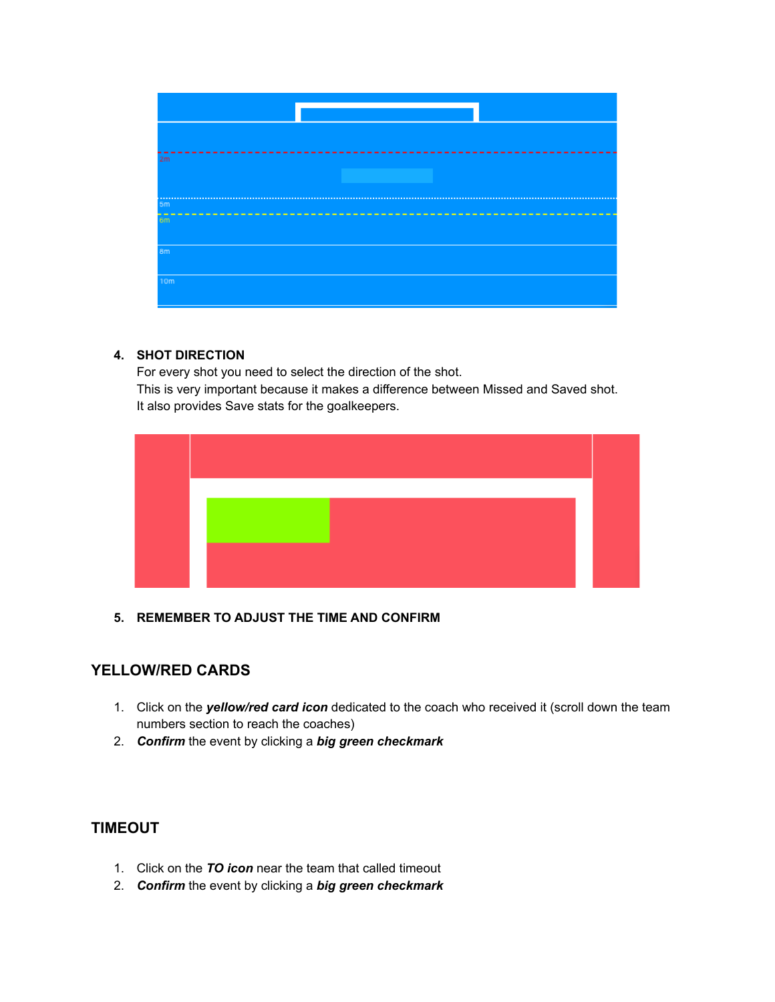

#### **4. SHOT DIRECTION**

For every shot you need to select the direction of the shot. This is very important because it makes a difference between Missed and Saved shot. It also provides Save stats for the goalkeepers.



**5. REMEMBER TO ADJUST THE TIME AND CONFIRM**

# **YELLOW/RED CARDS**

- 1. Click on the *yellow/red card icon* dedicated to the coach who received it (scroll down the team numbers section to reach the coaches)
- 2. *Confirm* the event by clicking a *big green checkmark*

## **TIMEOUT**

- 1. Click on the *TO icon* near the team that called timeout
- 2. *Confirm* the event by clicking a *big green checkmark*